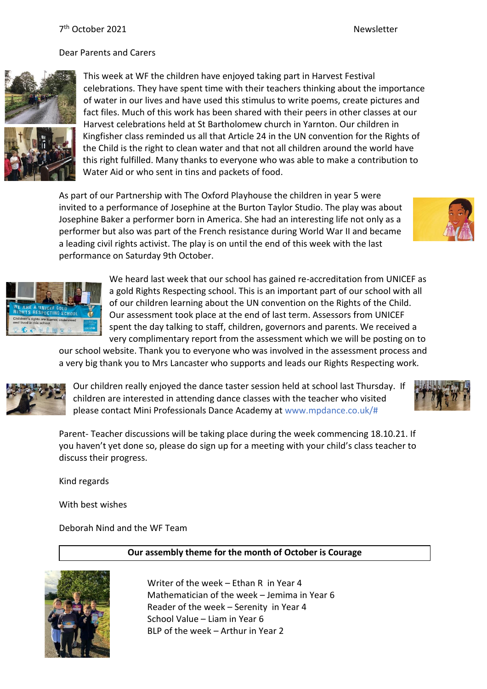### Dear Parents and Carers





This week at WF the children have enjoyed taking part in Harvest Festival celebrations. They have spent time with their teachers thinking about the importance of water in our lives and have used this stimulus to write poems, create pictures and fact files. Much of this work has been shared with their peers in other classes at our Harvest celebrations held at St Bartholomew church in Yarnton. Our children in Kingfisher class reminded us all that Article 24 in the UN convention for the Rights of the Child is the right to clean water and that not all children around the world have this right fulfilled. Many thanks to everyone who was able to make a contribution to Water Aid or who sent in tins and packets of food.

As part of our Partnership with The Oxford Playhouse the children in year 5 were invited to a performance of Josephine at the Burton Taylor Studio. The play was about Josephine Baker a performer born in America. She had an interesting life not only as a performer but also was part of the French resistance during World War II and became a leading civil rights activist. The play is on until the end of this week with the last performance on Saturday 9th October.



We heard last week that our school has gained re-accreditation from UNICEF as a gold Rights Respecting school. This is an important part of our school with all of our children learning about the UN convention on the Rights of the Child. Our assessment took place at the end of last term. Assessors from UNICEF spent the day talking to staff, children, governors and parents. We received a very complimentary report from the assessment which we will be posting on to

our school website. Thank you to everyone who was involved in the assessment process and a very big thank you to Mrs Lancaster who supports and leads our Rights Respecting work.



Our children really enjoyed the dance taster session held at school last Thursday. If children are interested in attending dance classes with the teacher who visited please contact Mini Professionals Dance Academy at www.mpdance.co.uk/#



Parent- Teacher discussions will be taking place during the week commencing 18.10.21. If you haven't yet done so, please do sign up for a meeting with your child's class teacher to discuss their progress.

Kind regards

With best wishes

Deborah Nind and the WF Team

# **Our assembly theme for the month of October is Courage**



Writer of the week – Ethan R in Year 4 Mathematician of the week – Jemima in Year 6 Reader of the week – Serenity in Year 4 School Value – Liam in Year 6 BLP of the week – Arthur in Year 2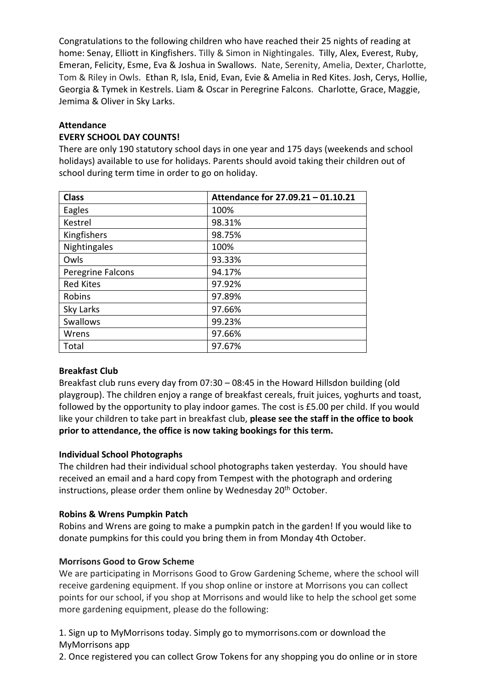Congratulations to the following children who have reached their 25 nights of reading at home: Senay, Elliott in Kingfishers. Tilly & Simon in Nightingales. Tilly, Alex, Everest, Ruby, Emeran, Felicity, Esme, Eva & Joshua in Swallows. Nate, Serenity, Amelia, Dexter, Charlotte, Tom & Riley in Owls. Ethan R, Isla, Enid, Evan, Evie & Amelia in Red Kites. Josh, Cerys, Hollie, Georgia & Tymek in Kestrels. Liam & Oscar in Peregrine Falcons. Charlotte, Grace, Maggie, Jemima & Oliver in Sky Larks.

### **Attendance**

### **EVERY SCHOOL DAY COUNTS!**

There are only 190 statutory school days in one year and 175 days (weekends and school holidays) available to use for holidays. Parents should avoid taking their children out of school during term time in order to go on holiday.

| <b>Class</b>      | Attendance for 27.09.21 - 01.10.21 |
|-------------------|------------------------------------|
| Eagles            | 100%                               |
| Kestrel           | 98.31%                             |
| Kingfishers       | 98.75%                             |
| Nightingales      | 100%                               |
| Owls              | 93.33%                             |
| Peregrine Falcons | 94.17%                             |
| <b>Red Kites</b>  | 97.92%                             |
| Robins            | 97.89%                             |
| Sky Larks         | 97.66%                             |
| Swallows          | 99.23%                             |
| Wrens             | 97.66%                             |
| Total             | 97.67%                             |

# **Breakfast Club**

Breakfast club runs every day from 07:30 – 08:45 in the Howard Hillsdon building (old playgroup). The children enjoy a range of breakfast cereals, fruit juices, yoghurts and toast, followed by the opportunity to play indoor games. The cost is £5.00 per child. If you would like your children to take part in breakfast club, **please see the staff in the office to book prior to attendance, the office is now taking bookings for this term.**

### **Individual School Photographs**

The children had their individual school photographs taken yesterday. You should have received an email and a hard copy from Tempest with the photograph and ordering instructions, please order them online by Wednesday 20<sup>th</sup> October.

### **Robins & Wrens Pumpkin Patch**

Robins and Wrens are going to make a pumpkin patch in the garden! If you would like to donate pumpkins for this could you bring them in from Monday 4th October.

### **Morrisons Good to Grow Scheme**

We are participating in Morrisons Good to Grow Gardening Scheme, where the school will receive gardening equipment. If you shop online or instore at Morrisons you can collect points for our school, if you shop at Morrisons and would like to help the school get some more gardening equipment, please do the following:

1. Sign up to MyMorrisons today. Simply go to mymorrisons.com or download the MyMorrisons app

2. Once registered you can collect Grow Tokens for any shopping you do online or in store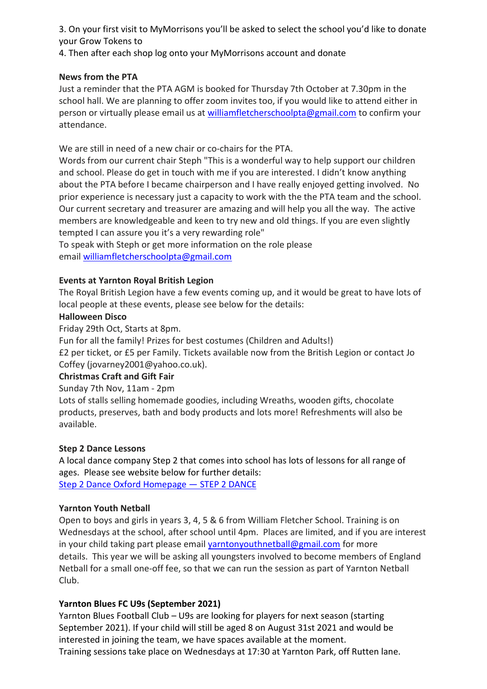3. On your first visit to MyMorrisons you'll be asked to select the school you'd like to donate your Grow Tokens to

4. Then after each shop log onto your MyMorrisons account and donate

# **News from the PTA**

Just a reminder that the PTA AGM is booked for Thursday 7th October at 7.30pm in the school hall. We are planning to offer zoom invites too, if you would like to attend either in person or virtually please email us at [williamfletcherschoolpta@gmail.com](mailto:williamfletcherschoolpta@gmail.com) to confirm your attendance.

We are still in need of a new chair or co-chairs for the PTA.

Words from our current chair Steph "This is a wonderful way to help support our children and school. Please do get in touch with me if you are interested. I didn't know anything about the PTA before I became chairperson and I have really enjoyed getting involved. No prior experience is necessary just a capacity to work with the the PTA team and the school. Our current secretary and treasurer are amazing and will help you all the way. The active members are knowledgeable and keen to try new and old things. If you are even slightly tempted I can assure you it's a very rewarding role"

To speak with Steph or get more information on the role please email [williamfletcherschoolpta@gmail.com](mailto:williamfletcherschoolpta@gmail.com)

# **Events at Yarnton Royal British Legion**

The Royal British Legion have a few events coming up, and it would be great to have lots of local people at these events, please see below for the details:

### **Halloween Disco**

Friday 29th Oct, Starts at 8pm.

Fun for all the family! Prizes for best costumes (Children and Adults!)

£2 per ticket, or £5 per Family. Tickets available now from the British Legion or contact Jo Coffey (jovarney2001@yahoo.co.uk).

### **Christmas Craft and Gift Fair**

Sunday 7th Nov, 11am - 2pm

Lots of stalls selling homemade goodies, including Wreaths, wooden gifts, chocolate products, preserves, bath and body products and lots more! Refreshments will also be available.

### **Step 2 Dance Lessons**

A local dance company Step 2 that comes into school has lots of lessons for all range of ages. Please see website below for further details: [Step 2 Dance Oxford Homepage](https://www.step2dance.co.uk/home) — STEP 2 DANCE

### **Yarnton Youth Netball**

Open to boys and girls in years 3, 4, 5 & 6 from William Fletcher School. Training is on Wednesdays at the school, after school until 4pm. Places are limited, and if you are interest in your child taking part please email [yarntonyouthnetball@gmail.com](mailto:yarntonyouthnetball@gmail.com) for more details. This year we will be asking all youngsters involved to become members of England Netball for a small one-off fee, so that we can run the session as part of Yarnton Netball Club.

# **Yarnton Blues FC U9s (September 2021)**

Yarnton Blues Football Club – U9s are looking for players for next season (starting September 2021). If your child will still be aged 8 on August 31st 2021 and would be interested in joining the team, we have spaces available at the moment. Training sessions take place on Wednesdays at 17:30 at Yarnton Park, off Rutten lane.